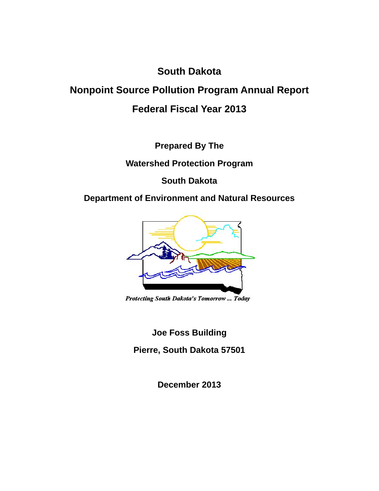# **South Dakota**

# **Nonpoint Source Pollution Program Annual Report Federal Fiscal Year 2013**

**Prepared By The** 

**Watershed Protection Program** 

**South Dakota** 

# **Department of Environment and Natural Resources**



Protecting South Dakota's Tomorrow ... Today

**Joe Foss Building** 

**Pierre, South Dakota 57501** 

**December 2013**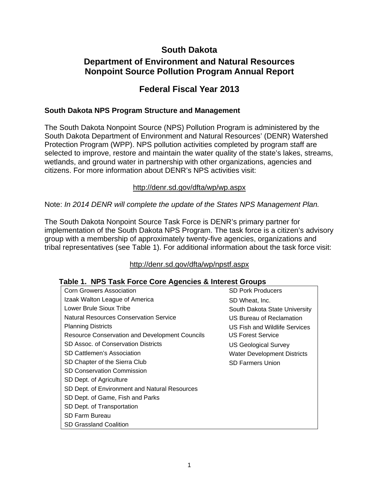### **South Dakota**

# **Department of Environment and Natural Resources Nonpoint Source Pollution Program Annual Report**

### **Federal Fiscal Year 2013**

#### **South Dakota NPS Program Structure and Management**

The South Dakota Nonpoint Source (NPS) Pollution Program is administered by the South Dakota Department of Environment and Natural Resources' (DENR) Watershed Protection Program (WPP). NPS pollution activities completed by program staff are selected to improve, restore and maintain the water quality of the state's lakes, streams, wetlands, and ground water in partnership with other organizations, agencies and citizens. For more information about DENR's NPS activities visit:

#### http://denr.sd.gov/dfta/wp/wp.aspx

Note: *In 2014 DENR will complete the update of the States NPS Management Plan.*

The South Dakota Nonpoint Source Task Force is DENR's primary partner for implementation of the South Dakota NPS Program. The task force is a citizen's advisory group with a membership of approximately twenty-five agencies, organizations and tribal representatives (see Table 1). For additional information about the task force visit:

#### http://denr.sd.gov/dfta/wp/npstf.aspx

#### **Table 1. NPS Task Force Core Agencies & Interest Groups**

| <b>Corn Growers Association</b>                       | <b>SD Pork Producers</b>           |
|-------------------------------------------------------|------------------------------------|
| Izaak Walton League of America                        | SD Wheat, Inc.                     |
| Lower Brule Sioux Tribe                               | South Dakota State University      |
| Natural Resources Conservation Service                | US Bureau of Reclamation           |
| <b>Planning Districts</b>                             | US Fish and Wildlife Services      |
| <b>Resource Conservation and Development Councils</b> | <b>US Forest Service</b>           |
| SD Assoc. of Conservation Districts                   | US Geological Survey               |
| SD Cattlemen's Association                            | <b>Water Development Districts</b> |
| SD Chapter of the Sierra Club                         | <b>SD Farmers Union</b>            |
| <b>SD Conservation Commission</b>                     |                                    |
| SD Dept. of Agriculture                               |                                    |
| SD Dept. of Environment and Natural Resources         |                                    |
| SD Dept. of Game, Fish and Parks                      |                                    |
| SD Dept. of Transportation                            |                                    |
| SD Farm Bureau                                        |                                    |
| <b>SD Grassland Coalition</b>                         |                                    |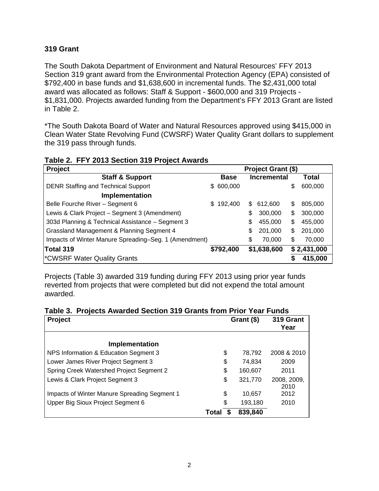#### **319 Grant**

The South Dakota Department of Environment and Natural Resources' FFY 2013 Section 319 grant award from the Environmental Protection Agency (EPA) consisted of \$792,400 in base funds and \$1,638,600 in incremental funds. The \$2,431,000 total award was allocated as follows: Staff & Support - \$600,000 and 319 Projects - \$1,831,000. Projects awarded funding from the Department's FFY 2013 Grant are listed in Table 2.

\*The South Dakota Board of Water and Natural Resources approved using \$415,000 in Clean Water State Revolving Fund (CWSRF) Water Quality Grant dollars to supplement the 319 pass through funds.

| able 2. FFT 2013 Section 319 Froject Awards           |               |    |                    |    |             |
|-------------------------------------------------------|---------------|----|--------------------|----|-------------|
| Project                                               |               |    | Project Grant (\$) |    |             |
| <b>Staff &amp; Support</b>                            | <b>Base</b>   |    | <b>Incremental</b> |    | Total       |
| <b>DENR Staffing and Technical Support</b>            | \$600,000     |    |                    | \$ | 600,000     |
| Implementation                                        |               |    |                    |    |             |
| Belle Fourche River - Segment 6                       | \$<br>192,400 | S  | 612.600            | \$ | 805,000     |
| Lewis & Clark Project - Segment 3 (Amendment)         |               | \$ | 300,000            | \$ | 300,000     |
| 303d Planning & Technical Assistance - Segment 3      |               | \$ | 455,000            | \$ | 455,000     |
| Grassland Management & Planning Segment 4             |               | \$ | 201,000            | \$ | 201,000     |
| Impacts of Winter Manure Spreading-Seg. 1 (Amendment) |               | \$ | 70,000             | \$ | 70,000      |
| Total 319                                             | \$792,400     |    | \$1,638,600        |    | \$2,431,000 |
| *CWSRF Water Quality Grants                           |               |    |                    | S  | 415,000     |

#### **Table 2. FFY 2013 Section 319 Project Awards**

Projects (Table 3) awarded 319 funding during FFY 2013 using prior year funds reverted from projects that were completed but did not expend the total amount awarded.

| Table 3. Projects Awarded Section 319 Grants from Prior Year Funds |  |  |  |  |  |  |  |  |
|--------------------------------------------------------------------|--|--|--|--|--|--|--|--|
|--------------------------------------------------------------------|--|--|--|--|--|--|--|--|

| <b>Project</b>                               |       | Grant (\$) | 319 Grant<br>Year   |
|----------------------------------------------|-------|------------|---------------------|
| Implementation                               |       |            |                     |
| NPS Information & Education Segment 3        | \$    | 78,792     | 2008 & 2010         |
| Lower James River Project Segment 3          | \$    | 74,834     | 2009                |
| Spring Creek Watershed Project Segment 2     | \$    | 160,607    | 2011                |
| Lewis & Clark Project Segment 3              | \$    | 321,770    | 2008, 2009,<br>2010 |
| Impacts of Winter Manure Spreading Segment 1 | \$    | 10.657     | 2012                |
| Upper Big Sioux Project Segment 6            | \$    | 193,180    | 2010                |
|                                              | Total | 839,840    |                     |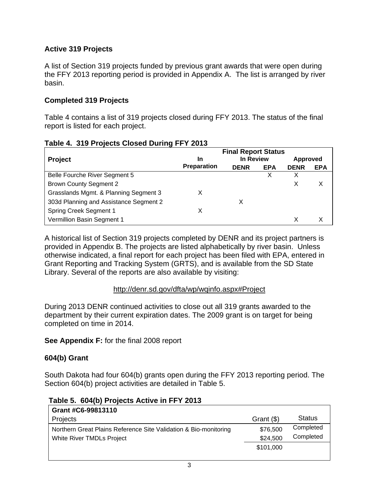#### **Active 319 Projects**

A list of Section 319 projects funded by previous grant awards that were open during the FFY 2013 reporting period is provided in Appendix A. The list is arranged by river basin.

#### **Completed 319 Projects**

Table 4 contains a list of 319 projects closed during FFY 2013. The status of the final report is listed for each project.

|                                        |             | <b>Final Report Status</b> |            |             |            |
|----------------------------------------|-------------|----------------------------|------------|-------------|------------|
| <b>Project</b>                         | In          | In Review                  |            |             | Approved   |
|                                        | Preparation | <b>DENR</b>                | <b>EPA</b> | <b>DENR</b> | <b>EPA</b> |
| Belle Fourche River Segment 5          |             |                            | х          |             |            |
| <b>Brown County Segment 2</b>          |             |                            |            |             |            |
| Grasslands Mgmt. & Planning Segment 3  | х           |                            |            |             |            |
| 303d Planning and Assistance Segment 2 |             |                            |            |             |            |
| <b>Spring Creek Segment 1</b>          | х           |                            |            |             |            |
| Vermillion Basin Segment 1             |             |                            |            |             |            |

#### **Table 4. 319 Projects Closed During FFY 2013**

A historical list of Section 319 projects completed by DENR and its project partners is provided in Appendix B. The projects are listed alphabetically by river basin. Unless otherwise indicated, a final report for each project has been filed with EPA, entered in Grant Reporting and Tracking System (GRTS), and is available from the SD State Library. Several of the reports are also available by visiting:

#### http://denr.sd.gov/dfta/wp/wqinfo.aspx#Project

During 2013 DENR continued activities to close out all 319 grants awarded to the department by their current expiration dates. The 2009 grant is on target for being completed on time in 2014.

#### **See Appendix F:** for the final 2008 report

#### **604(b) Grant**

South Dakota had four 604(b) grants open during the FFY 2013 reporting period. The Section 604(b) project activities are detailed in Table 5.

| Grant #C6-99813110                                               |            |               |
|------------------------------------------------------------------|------------|---------------|
| Projects                                                         | Grant (\$) | <b>Status</b> |
| Northern Great Plains Reference Site Validation & Bio-monitoring | \$76,500   | Completed     |
| <b>White River TMDLs Project</b>                                 | \$24,500   | Completed     |
|                                                                  | \$101,000  |               |
|                                                                  |            |               |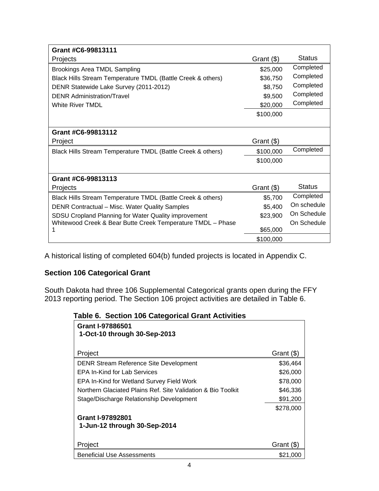| Grant #C6-99813111                                          |              |               |
|-------------------------------------------------------------|--------------|---------------|
| Projects                                                    | Grant $(\$)$ | <b>Status</b> |
| <b>Brookings Area TMDL Sampling</b>                         | \$25,000     | Completed     |
| Black Hills Stream Temperature TMDL (Battle Creek & others) | \$36,750     | Completed     |
| DENR Statewide Lake Survey (2011-2012)                      | \$8,750      | Completed     |
| <b>DENR Administration/Travel</b>                           | \$9,500      | Completed     |
| <b>White River TMDL</b>                                     | \$20,000     | Completed     |
|                                                             | \$100,000    |               |
|                                                             |              |               |
| Grant #C6-99813112                                          |              |               |
| Project                                                     | Grant (\$)   |               |
| Black Hills Stream Temperature TMDL (Battle Creek & others) | \$100,000    | Completed     |
|                                                             | \$100,000    |               |
|                                                             |              |               |
| Grant #C6-99813113                                          |              |               |
| Projects                                                    | Grant (\$)   | <b>Status</b> |
| Black Hills Stream Temperature TMDL (Battle Creek & others) | \$5,700      | Completed     |
| DENR Contractual – Misc. Water Quality Samples              | \$5,400      | On schedule   |
| SDSU Cropland Planning for Water Quality improvement        | \$23,900     | On Schedule   |
| Whitewood Creek & Bear Butte Creek Temperature TMDL - Phase |              | On Schedule   |
|                                                             | \$65,000     |               |
|                                                             | \$100,000    |               |

A historical listing of completed 604(b) funded projects is located in Appendix C.

#### **Section 106 Categorical Grant**

South Dakota had three 106 Supplemental Categorical grants open during the FFY 2013 reporting period. The Section 106 project activities are detailed in Table 6.

 **Table 6. Section 106 Categorical Grant Activities**

| Grant I-97886501<br>1-Oct-10 through 30-Sep-2013             |            |
|--------------------------------------------------------------|------------|
| Project                                                      | Grant (\$) |
| <b>DENR Stream Reference Site Development</b>                | \$36,464   |
| EPA In-Kind for Lab Services                                 | \$26,000   |
| <b>EPA In-Kind for Wetland Survey Field Work</b>             | \$78,000   |
| Northern Glaciated Plains Ref. Site Validation & Bio Toolkit | \$46,336   |
| Stage/Discharge Relationship Development                     | \$91,200   |
|                                                              | \$278,000  |
| <b>Grant I-97892801</b>                                      |            |
| 1-Jun-12 through 30-Sep-2014                                 |            |
|                                                              |            |
| Project                                                      | Grant (\$  |
| <b>Beneficial Use Assessments</b>                            | \$21,000   |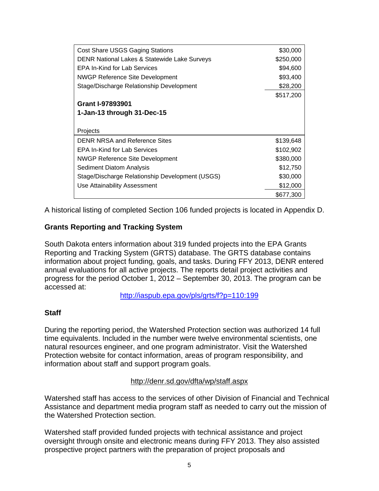| <b>Cost Share USGS Gaging Stations</b>          | \$30,000  |
|-------------------------------------------------|-----------|
| DENR National Lakes & Statewide Lake Surveys    | \$250,000 |
| EPA In-Kind for Lab Services                    | \$94,600  |
| <b>NWGP Reference Site Development</b>          | \$93,400  |
| Stage/Discharge Relationship Development        | \$28,200  |
|                                                 | \$517,200 |
| Grant I-97893901                                |           |
| 1-Jan-13 through 31-Dec-15                      |           |
|                                                 |           |
| Projects                                        |           |
| DENR NRSA and Reference Sites                   | \$139,648 |
| EPA In-Kind for Lab Services                    | \$102,902 |
| <b>NWGP Reference Site Development</b>          | \$380,000 |
| Sediment Diatom Analysis                        | \$12,750  |
| Stage/Discharge Relationship Development (USGS) | \$30,000  |
|                                                 |           |
| Use Attainability Assessment                    | \$12,000  |

A historical listing of completed Section 106 funded projects is located in Appendix D.

#### **Grants Reporting and Tracking System**

South Dakota enters information about 319 funded projects into the EPA Grants Reporting and Tracking System (GRTS) database. The GRTS database contains information about project funding, goals, and tasks. During FFY 2013, DENR entered annual evaluations for all active projects. The reports detail project activities and progress for the period October 1, 2012 – September 30, 2013. The program can be accessed at:

http://iaspub.epa.gov/pls/grts/f?p=110:199

#### **Staff**

During the reporting period, the Watershed Protection section was authorized 14 full time equivalents. Included in the number were twelve environmental scientists, one natural resources engineer, and one program administrator. Visit the Watershed Protection website for contact information, areas of program responsibility, and information about staff and support program goals.

#### http://denr.sd.gov/dfta/wp/staff.aspx

Watershed staff has access to the services of other Division of Financial and Technical Assistance and department media program staff as needed to carry out the mission of the Watershed Protection section.

Watershed staff provided funded projects with technical assistance and project oversight through onsite and electronic means during FFY 2013. They also assisted prospective project partners with the preparation of project proposals and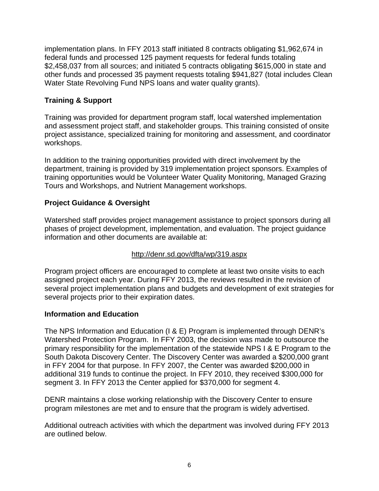implementation plans. In FFY 2013 staff initiated 8 contracts obligating \$1,962,674 in federal funds and processed 125 payment requests for federal funds totaling \$2,458,037 from all sources; and initiated 5 contracts obligating \$615,000 in state and other funds and processed 35 payment requests totaling \$941,827 (total includes Clean Water State Revolving Fund NPS loans and water quality grants).

#### **Training & Support**

Training was provided for department program staff, local watershed implementation and assessment project staff, and stakeholder groups. This training consisted of onsite project assistance, specialized training for monitoring and assessment, and coordinator workshops.

In addition to the training opportunities provided with direct involvement by the department, training is provided by 319 implementation project sponsors. Examples of training opportunities would be Volunteer Water Quality Monitoring, Managed Grazing Tours and Workshops, and Nutrient Management workshops.

#### **Project Guidance & Oversight**

Watershed staff provides project management assistance to project sponsors during all phases of project development, implementation, and evaluation. The project guidance information and other documents are available at:

#### http://denr.sd.gov/dfta/wp/319.aspx

Program project officers are encouraged to complete at least two onsite visits to each assigned project each year. During FFY 2013, the reviews resulted in the revision of several project implementation plans and budgets and development of exit strategies for several projects prior to their expiration dates.

#### **Information and Education**

The NPS Information and Education (I & E) Program is implemented through DENR's Watershed Protection Program. In FFY 2003, the decision was made to outsource the primary responsibility for the implementation of the statewide NPS I & E Program to the South Dakota Discovery Center. The Discovery Center was awarded a \$200,000 grant in FFY 2004 for that purpose. In FFY 2007, the Center was awarded \$200,000 in additional 319 funds to continue the project. In FFY 2010, they received \$300,000 for segment 3. In FFY 2013 the Center applied for \$370,000 for segment 4.

DENR maintains a close working relationship with the Discovery Center to ensure program milestones are met and to ensure that the program is widely advertised.

Additional outreach activities with which the department was involved during FFY 2013 are outlined below.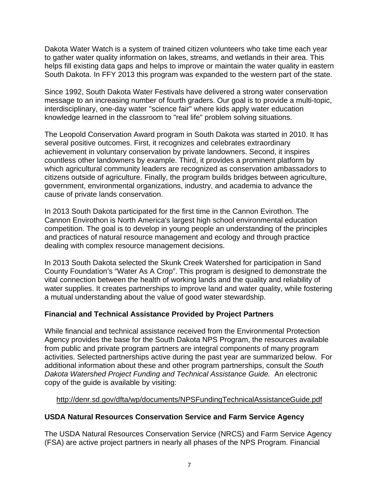Dakota Water Watch is a system of trained citizen volunteers who take time each year to gather water quality information on lakes, streams, and wetlands in their area. This helps fill existing data gaps and helps to improve or maintain the water quality in eastern South Dakota. In FFY 2013 this program was expanded to the western part of the state.

Since 1992, South Dakota Water Festivals have delivered a strong water conservation message to an increasing number of fourth graders. Our goal is to provide a multi-topic, interdisciplinary, one-day water "science fair" where kids apply water education knowledge learned in the classroom to "real life" problem solving situations.

The Leopold Conservation Award program in South Dakota was started in 2010. It has several positive outcomes. First, it recognizes and celebrates extraordinary achievement in voluntary conservation by private landowners. Second, it inspires countless other landowners by example. Third, it provides a prominent platform by which agricultural community leaders are recognized as conservation ambassadors to citizens outside of agriculture. Finally, the program builds bridges between agriculture, government, environmental organizations, industry, and academia to advance the cause of private lands conservation.

In 2013 South Dakota participated for the first time in the Cannon Evirothon. The Cannon Envirothon is North America's largest high school environmental education competition. The goal is to develop in young people an understanding of the principles and practices of natural resource management and ecology and through practice dealing with complex resource management decisions.

In 2013 South Dakota selected the Skunk Creek Watershed for participation in Sand County Foundation's "Water As A Crop". This program is designed to demonstrate the vital connection between the health of working lands and the quality and reliability of water supplies. It creates partnerships to improve land and water quality, while fostering a mutual understanding about the value of good water stewardship.

#### **Financial and Technical Assistance Provided by Project Partners**

While financial and technical assistance received from the Environmental Protection Agency provides the base for the South Dakota NPS Program, the resources available from public and private program partners are integral components of many program activities. Selected partnerships active during the past year are summarized below. For additional information about these and other program partnerships, consult the *South Dakota Watershed Project Funding and Technical Assistance Guide.* An electronic copy of the guide is available by visiting:

#### http://denr.sd.gov/dfta/wp/documents/NPSFundingTechnicalAssistanceGuide.pdf

#### **USDA Natural Resources Conservation Service and Farm Service Agency**

The USDA Natural Resources Conservation Service (NRCS) and Farm Service Agency (FSA) are active project partners in nearly all phases of the NPS Program. Financial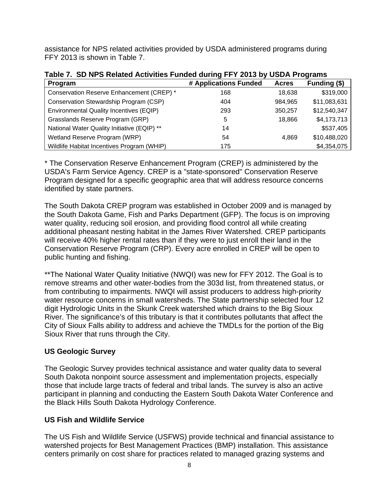assistance for NPS related activities provided by USDA administered programs during FFY 2013 is shown in Table 7.

| ייטאופט ווי שט זיי ניסט איז די די טעוויונט ווי ניסטוויונט ווי ניסט ווי ניסט ווי ניסט ווי ניסט ווי ניסט ווי ניס<br>Program | # Applications Funded | <b>Acres</b> | Funding (\$) |
|---------------------------------------------------------------------------------------------------------------------------|-----------------------|--------------|--------------|
| Conservation Reserve Enhancement (CREP) *                                                                                 | 168                   | 18,638       | \$319,000    |
| Conservation Stewardship Program (CSP)                                                                                    | 404                   | 984,965      | \$11,083,631 |
| Environmental Quality Incentives (EQIP)                                                                                   | 293                   | 350,257      | \$12,540,347 |
| Grasslands Reserve Program (GRP)                                                                                          | 5                     | 18,866       | \$4,173,713  |
| National Water Quality Initiative (EQIP) **                                                                               | 14                    |              | \$537,405    |
| Wetland Reserve Program (WRP)                                                                                             | 54                    | 4.869        | \$10,488,020 |
| Wildlife Habitat Incentives Program (WHIP)                                                                                | 175                   |              | \$4,354,075  |

**Table 7. SD NPS Related Activities Funded during FFY 2013 by USDA Programs** 

\* The Conservation Reserve Enhancement Program (CREP) is administered by the USDA's Farm Service Agency. CREP is a "state-sponsored" Conservation Reserve Program designed for a specific geographic area that will address resource concerns identified by state partners.

The South Dakota CREP program was established in October 2009 and is managed by the South Dakota Game, Fish and Parks Department (GFP). The focus is on improving water quality, reducing soil erosion, and providing flood control all while creating additional pheasant nesting habitat in the James River Watershed. CREP participants will receive 40% higher rental rates than if they were to just enroll their land in the Conservation Reserve Program (CRP). Every acre enrolled in CREP will be open to public hunting and fishing.

\*\*The National Water Quality Initiative (NWQI) was new for FFY 2012. The Goal is to remove streams and other water-bodies from the 303d list, from threatened status, or from contributing to impairments. NWQI will assist producers to address high-priority water resource concerns in small watersheds. The State partnership selected four 12 digit Hydrologic Units in the Skunk Creek watershed which drains to the Big Sioux River. The significance's of this tributary is that it contributes pollutants that affect the City of Sioux Falls ability to address and achieve the TMDLs for the portion of the Big Sioux River that runs through the City.

#### **US Geologic Survey**

The Geologic Survey provides technical assistance and water quality data to several South Dakota nonpoint source assessment and implementation projects, especially those that include large tracts of federal and tribal lands. The survey is also an active participant in planning and conducting the Eastern South Dakota Water Conference and the Black Hills South Dakota Hydrology Conference.

#### **US Fish and Wildlife Service**

The US Fish and Wildlife Service (USFWS) provide technical and financial assistance to watershed projects for Best Management Practices (BMP) installation. This assistance centers primarily on cost share for practices related to managed grazing systems and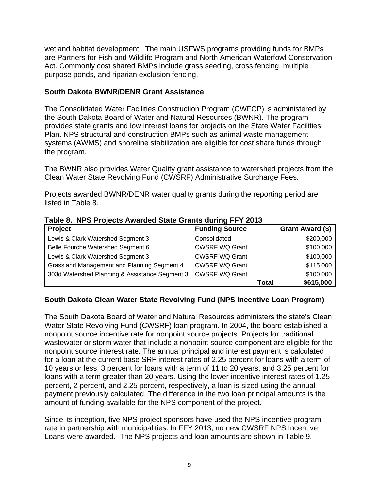wetland habitat development. The main USFWS programs providing funds for BMPs are Partners for Fish and Wildlife Program and North American Waterfowl Conservation Act. Commonly cost shared BMPs include grass seeding, cross fencing, multiple purpose ponds, and riparian exclusion fencing.

#### **South Dakota BWNR/DENR Grant Assistance**

The Consolidated Water Facilities Construction Program (CWFCP) is administered by the South Dakota Board of Water and Natural Resources (BWNR). The program provides state grants and low interest loans for projects on the State Water Facilities Plan. NPS structural and construction BMPs such as animal waste management systems (AWMS) and shoreline stabilization are eligible for cost share funds through the program.

The BWNR also provides Water Quality grant assistance to watershed projects from the Clean Water State Revolving Fund (CWSRF) Administrative Surcharge Fees.

Projects awarded BWNR/DENR water quality grants during the reporting period are listed in Table 8.

|         | Table 8. NPS Projects Awarded State Grants during FFY 2013 |  |
|---------|------------------------------------------------------------|--|
| Project | <b>Funding Source</b>                                      |  |
|         |                                                            |  |

| <b>Project</b>                                 | <b>Funding Source</b> |       | Grant Award (\$) |
|------------------------------------------------|-----------------------|-------|------------------|
| Lewis & Clark Watershed Segment 3              | Consolidated          |       | \$200,000        |
| Belle Fourche Watershed Segment 6              | <b>CWSRF WQ Grant</b> |       | \$100,000        |
| Lewis & Clark Watershed Segment 3              | <b>CWSRF WQ Grant</b> |       | \$100,000        |
| Grassland Management and Planning Segment 4    | <b>CWSRF WQ Grant</b> |       | \$115,000        |
| 303d Watershed Planning & Assistance Segment 3 | <b>CWSRF WQ Grant</b> |       | \$100,000        |
|                                                |                       | Total | \$615,000        |

#### **South Dakota Clean Water State Revolving Fund (NPS Incentive Loan Program)**

The South Dakota Board of Water and Natural Resources administers the state's Clean Water State Revolving Fund (CWSRF) loan program. In 2004, the board established a nonpoint source incentive rate for nonpoint source projects. Projects for traditional wastewater or storm water that include a nonpoint source component are eligible for the nonpoint source interest rate. The annual principal and interest payment is calculated for a loan at the current base SRF interest rates of 2.25 percent for loans with a term of 10 years or less, 3 percent for loans with a term of 11 to 20 years, and 3.25 percent for loans with a term greater than 20 years. Using the lower incentive interest rates of 1.25 percent, 2 percent, and 2.25 percent, respectively, a loan is sized using the annual payment previously calculated. The difference in the two loan principal amounts is the amount of funding available for the NPS component of the project.

Since its inception, five NPS project sponsors have used the NPS incentive program rate in partnership with municipalities. In FFY 2013, no new CWSRF NPS Incentive Loans were awarded. The NPS projects and loan amounts are shown in Table 9.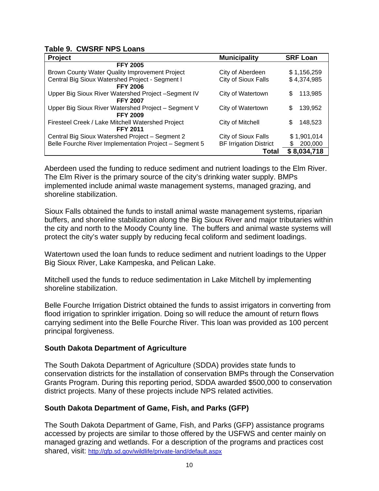#### **Table 9. CWSRF NPS Loans**

| Project                                                | <b>Municipality</b>           | <b>SRF Loan</b> |  |  |
|--------------------------------------------------------|-------------------------------|-----------------|--|--|
| <b>FFY 2005</b>                                        |                               |                 |  |  |
| Brown County Water Quality Improvement Project         | City of Aberdeen              | \$1,156,259     |  |  |
| Central Big Sioux Watershed Project - Segment I        | City of Sioux Falls           | \$4,374,985     |  |  |
| <b>FFY 2006</b>                                        |                               |                 |  |  |
| Upper Big Sioux River Watershed Project -Segment IV    | City of Watertown             | 113,985<br>S    |  |  |
| <b>FFY 2007</b>                                        |                               |                 |  |  |
| Upper Big Sioux River Watershed Project - Segment V    | City of Watertown             | \$<br>139,952   |  |  |
| <b>FFY 2009</b>                                        |                               |                 |  |  |
| Firesteel Creek / Lake Mitchell Watershed Project      | City of Mitchell              | 148,523<br>S    |  |  |
| <b>FFY 2011</b>                                        |                               |                 |  |  |
| Central Big Sioux Watershed Project - Segment 2        | City of Sioux Falls           | \$1,901,014     |  |  |
| Belle Fourche River Implementation Project - Segment 5 | <b>BF Irrigation District</b> | 200,000<br>S    |  |  |
|                                                        | Total                         | \$8,034,718     |  |  |

Aberdeen used the funding to reduce sediment and nutrient loadings to the Elm River. The Elm River is the primary source of the city's drinking water supply. BMPs implemented include animal waste management systems, managed grazing, and shoreline stabilization.

Sioux Falls obtained the funds to install animal waste management systems, riparian buffers, and shoreline stabilization along the Big Sioux River and major tributaries within the city and north to the Moody County line. The buffers and animal waste systems will protect the city's water supply by reducing fecal coliform and sediment loadings.

Watertown used the loan funds to reduce sediment and nutrient loadings to the Upper Big Sioux River, Lake Kampeska, and Pelican Lake.

Mitchell used the funds to reduce sedimentation in Lake Mitchell by implementing shoreline stabilization.

Belle Fourche Irrigation District obtained the funds to assist irrigators in converting from flood irrigation to sprinkler irrigation. Doing so will reduce the amount of return flows carrying sediment into the Belle Fourche River. This loan was provided as 100 percent principal forgiveness.

#### **South Dakota Department of Agriculture**

The South Dakota Department of Agriculture (SDDA) provides state funds to conservation districts for the installation of conservation BMPs through the Conservation Grants Program. During this reporting period, SDDA awarded \$500,000 to conservation district projects. Many of these projects include NPS related activities.

#### **South Dakota Department of Game, Fish, and Parks (GFP)**

The South Dakota Department of Game, Fish, and Parks (GFP) assistance programs accessed by projects are similar to those offered by the USFWS and center mainly on managed grazing and wetlands. For a description of the programs and practices cost shared, visit: http://gfp.sd.gov/wildlife/private-land/default.aspx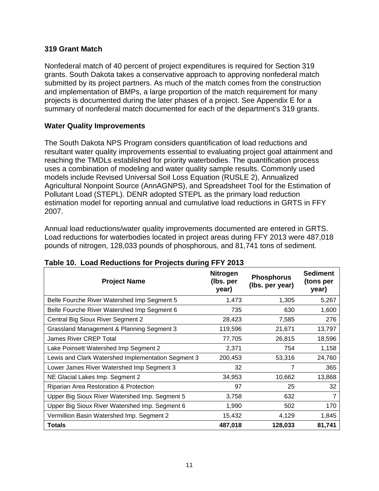#### **319 Grant Match**

Nonfederal match of 40 percent of project expenditures is required for Section 319 grants. South Dakota takes a conservative approach to approving nonfederal match submitted by its project partners. As much of the match comes from the construction and implementation of BMPs, a large proportion of the match requirement for many projects is documented during the later phases of a project. See Appendix E for a summary of nonfederal match documented for each of the department's 319 grants.

#### **Water Quality Improvements**

The South Dakota NPS Program considers quantification of load reductions and resultant water quality improvements essential to evaluating project goal attainment and reaching the TMDLs established for priority waterbodies. The quantification process uses a combination of modeling and water quality sample results. Commonly used models include Revised Universal Soil Loss Equation (RUSLE 2), Annualized Agricultural Nonpoint Source (AnnAGNPS), and Spreadsheet Tool for the Estimation of Pollutant Load (STEPL). DENR adopted STEPL as the primary load reduction estimation model for reporting annual and cumulative load reductions in GRTS in FFY 2007.

Annual load reductions/water quality improvements documented are entered in GRTS. Load reductions for waterbodies located in project areas during FFY 2013 were 487,018 pounds of nitrogen, 128,033 pounds of phosphorous, and 81,741 tons of sediment.

| <b>Project Name</b>                                | <b>Nitrogen</b><br>(Ibs. per<br>year) | <b>Phosphorus</b><br>(Ibs. per year) | <b>Sediment</b><br>(tons per<br>year) |
|----------------------------------------------------|---------------------------------------|--------------------------------------|---------------------------------------|
| Belle Fourche River Watershed Imp Segment 5        | 1,473                                 | 1,305                                | 5,267                                 |
| Belle Fourche River Watershed Imp Segment 6        | 735                                   | 630                                  | 1,600                                 |
| Central Big Sioux River Segment 2                  | 28,423                                | 7,585                                | 276                                   |
| Grassland Management & Planning Segment 3          | 119,596                               | 21,671                               | 13,797                                |
| <b>James River CREP Total</b>                      | 77,705                                | 26,815                               | 18,596                                |
| Lake Poinsett Watershed Imp Segment 2              | 2,371                                 | 754                                  | 1,158                                 |
| Lewis and Clark Watershed Implementation Segment 3 | 200,453                               | 53,316                               | 24,760                                |
| Lower James River Watershed Imp Segment 3          | 32                                    | 7                                    | 365                                   |
| NE Glacial Lakes Imp. Segment 2                    | 34,953                                | 10,662                               | 13,868                                |
| Riparian Area Restoration & Protection             | 97                                    | 25                                   | 32                                    |
| Upper Big Sioux River Watershed Imp. Segment 5     | 3,758                                 | 632                                  | 7                                     |
| Upper Big Sioux River Watershed Imp. Segment 6     | 1,990                                 | 502                                  | 170                                   |
| Vermillion Basin Watershed Imp. Segment 2          | 15,432                                | 4,129                                | 1,845                                 |
| <b>Totals</b>                                      | 487,018                               | 128,033                              | 81,741                                |

#### **Table 10. Load Reductions for Projects during FFY 2013**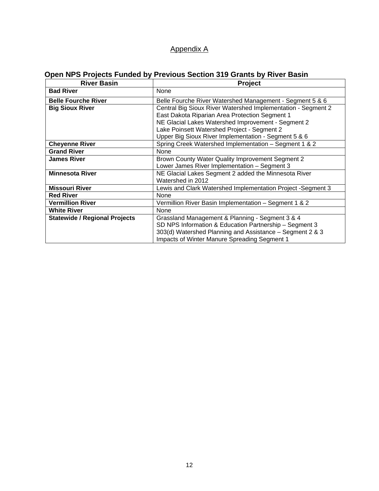#### Appendix A

# **Open NPS Projects Funded by Previous Section 319 Grants by River Basin**

| <b>River Basin</b>                   | <b>Project</b>                                               |  |  |  |  |
|--------------------------------------|--------------------------------------------------------------|--|--|--|--|
| <b>Bad River</b>                     | None                                                         |  |  |  |  |
| <b>Belle Fourche River</b>           | Belle Fourche River Watershed Management - Segment 5 & 6     |  |  |  |  |
| <b>Big Sioux River</b>               | Central Big Sioux River Watershed Implementation - Segment 2 |  |  |  |  |
|                                      | East Dakota Riparian Area Protection Segment 1               |  |  |  |  |
|                                      | NE Glacial Lakes Watershed Improvement - Segment 2           |  |  |  |  |
|                                      | Lake Poinsett Watershed Project - Segment 2                  |  |  |  |  |
|                                      | Upper Big Sioux River Implementation - Segment 5 & 6         |  |  |  |  |
| <b>Cheyenne River</b>                | Spring Creek Watershed Implementation - Segment 1 & 2        |  |  |  |  |
| <b>Grand River</b>                   | None                                                         |  |  |  |  |
| <b>James River</b>                   | Brown County Water Quality Improvement Segment 2             |  |  |  |  |
|                                      | Lower James River Implementation - Segment 3                 |  |  |  |  |
| <b>Minnesota River</b>               | NE Glacial Lakes Segment 2 added the Minnesota River         |  |  |  |  |
|                                      | Watershed in 2012                                            |  |  |  |  |
| <b>Missouri River</b>                | Lewis and Clark Watershed Implementation Project -Segment 3  |  |  |  |  |
| <b>Red River</b>                     | None                                                         |  |  |  |  |
| <b>Vermillion River</b>              | Vermillion River Basin Implementation - Segment 1 & 2        |  |  |  |  |
| <b>White River</b>                   | None                                                         |  |  |  |  |
| <b>Statewide / Regional Projects</b> | Grassland Management & Planning - Segment 3 & 4              |  |  |  |  |
|                                      | SD NPS Information & Education Partnership - Segment 3       |  |  |  |  |
|                                      | 303(d) Watershed Planning and Assistance – Segment 2 & 3     |  |  |  |  |
|                                      | Impacts of Winter Manure Spreading Segment 1                 |  |  |  |  |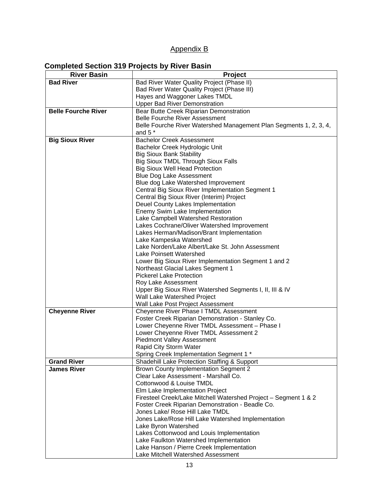#### Appendix B

#### **Completed Section 319 Projects by River Basin**

| <b>River Basin</b>         | Project                                                                     |
|----------------------------|-----------------------------------------------------------------------------|
| <b>Bad River</b>           | Bad River Water Quality Project (Phase II)                                  |
|                            | Bad River Water Quality Project (Phase III)                                 |
|                            | Hayes and Waggoner Lakes TMDL                                               |
|                            | <b>Upper Bad River Demonstration</b>                                        |
| <b>Belle Fourche River</b> | Bear Butte Creek Riparian Demonstration                                     |
|                            | <b>Belle Fourche River Assessment</b>                                       |
|                            | Belle Fourche River Watershed Management Plan Segments 1, 2, 3, 4,          |
|                            | and 5 $*$                                                                   |
| <b>Big Sioux River</b>     | <b>Bachelor Creek Assessment</b>                                            |
|                            | Bachelor Creek Hydrologic Unit                                              |
|                            | <b>Big Sioux Bank Stability</b>                                             |
|                            | <b>Big Sioux TMDL Through Sioux Falls</b>                                   |
|                            | <b>Big Sioux Well Head Protection</b>                                       |
|                            | <b>Blue Dog Lake Assessment</b>                                             |
|                            | Blue dog Lake Watershed Improvement                                         |
|                            | Central Big Sioux River Implementation Segment 1                            |
|                            | Central Big Sioux River (Interim) Project                                   |
|                            | Deuel County Lakes Implementation                                           |
|                            | Enemy Swim Lake Implementation                                              |
|                            | Lake Campbell Watershed Restoration                                         |
|                            | Lakes Cochrane/Oliver Watershed Improvement                                 |
|                            | Lakes Herman/Madison/Brant Implementation                                   |
|                            | Lake Kampeska Watershed<br>Lake Norden/Lake Albert/Lake St. John Assessment |
|                            | Lake Poinsett Watershed                                                     |
|                            | Lower Big Sioux River Implementation Segment 1 and 2                        |
|                            | Northeast Glacial Lakes Segment 1                                           |
|                            | <b>Pickerel Lake Protection</b>                                             |
|                            | Roy Lake Assessment                                                         |
|                            | Upper Big Sioux River Watershed Segments I, II, III & IV                    |
|                            | Wall Lake Watershed Project                                                 |
|                            | Wall Lake Post Project Assessment                                           |
| <b>Cheyenne River</b>      | Cheyenne River Phase I TMDL Assessment                                      |
|                            | Foster Creek Riparian Demonstration - Stanley Co.                           |
|                            | Lower Cheyenne River TMDL Assessment - Phase I                              |
|                            | Lower Cheyenne River TMDL Assessment 2                                      |
|                            | <b>Piedmont Valley Assessment</b>                                           |
|                            | Rapid City Storm Water                                                      |
|                            | Spring Creek Implementation Segment 1 *                                     |
| <b>Grand River</b>         | Shadehill Lake Protection Staffing & Support                                |
| <b>James River</b>         | <b>Brown County Implementation Segment 2</b>                                |
|                            | Clear Lake Assessment - Marshall Co.                                        |
|                            | Cottonwood & Louise TMDL                                                    |
|                            | Elm Lake Implementation Project                                             |
|                            | Firesteel Creek/Lake Mitchell Watershed Project - Segment 1 & 2             |
|                            | Foster Creek Riparian Demonstration - Beadle Co.                            |
|                            | Jones Lake/ Rose Hill Lake TMDL                                             |
|                            | Jones Lake/Rose Hill Lake Watershed Implementation                          |
|                            | Lake Byron Watershed                                                        |
|                            | Lakes Cottonwood and Louis Implementation                                   |
|                            | Lake Faulkton Watershed Implementation                                      |
|                            | Lake Hanson / Pierre Creek Implementation                                   |
|                            | Lake Mitchell Watershed Assessment                                          |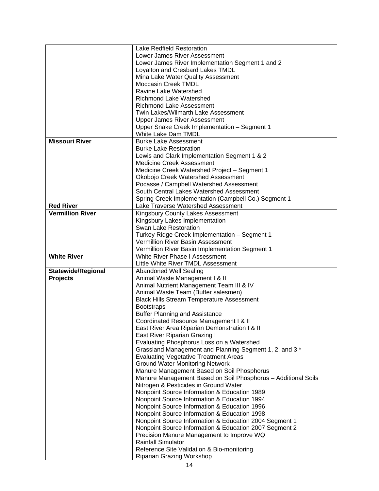|                           | <b>Lake Redfield Restoration</b>                                        |  |  |  |  |
|---------------------------|-------------------------------------------------------------------------|--|--|--|--|
|                           | Lower James River Assessment                                            |  |  |  |  |
|                           | Lower James River Implementation Segment 1 and 2                        |  |  |  |  |
|                           | Loyalton and Cresbard Lakes TMDL                                        |  |  |  |  |
|                           | Mina Lake Water Quality Assessment                                      |  |  |  |  |
|                           | <b>Moccasin Creek TMDL</b>                                              |  |  |  |  |
|                           | Ravine Lake Watershed                                                   |  |  |  |  |
|                           | <b>Richmond Lake Watershed</b>                                          |  |  |  |  |
|                           | <b>Richmond Lake Assessment</b>                                         |  |  |  |  |
|                           | Twin Lakes/Wilmarth Lake Assessment                                     |  |  |  |  |
|                           | <b>Upper James River Assessment</b>                                     |  |  |  |  |
|                           | Upper Snake Creek Implementation - Segment 1                            |  |  |  |  |
|                           | <b>White Lake Dam TMDL</b>                                              |  |  |  |  |
| <b>Missouri River</b>     | <b>Burke Lake Assessment</b>                                            |  |  |  |  |
|                           | <b>Burke Lake Restoration</b>                                           |  |  |  |  |
|                           | Lewis and Clark Implementation Segment 1 & 2                            |  |  |  |  |
|                           | <b>Medicine Creek Assessment</b>                                        |  |  |  |  |
|                           | Medicine Creek Watershed Project - Segment 1                            |  |  |  |  |
|                           | Okobojo Creek Watershed Assessment                                      |  |  |  |  |
|                           | Pocasse / Campbell Watershed Assessment                                 |  |  |  |  |
|                           |                                                                         |  |  |  |  |
|                           | South Central Lakes Watershed Assessment                                |  |  |  |  |
|                           | Spring Creek Implementation (Campbell Co.) Segment 1                    |  |  |  |  |
| <b>Red River</b>          | Lake Traverse Watershed Assessment                                      |  |  |  |  |
| <b>Vermillion River</b>   | Kingsbury County Lakes Assessment                                       |  |  |  |  |
|                           | Kingsbury Lakes Implementation                                          |  |  |  |  |
|                           | Swan Lake Restoration                                                   |  |  |  |  |
|                           | Turkey Ridge Creek Implementation - Segment 1                           |  |  |  |  |
|                           | Vermillion River Basin Assessment                                       |  |  |  |  |
|                           | Vermillion River Basin Implementation Segment 1                         |  |  |  |  |
| <b>White River</b>        | White River Phase I Assessment                                          |  |  |  |  |
|                           |                                                                         |  |  |  |  |
|                           | Little White River TMDL Assessment                                      |  |  |  |  |
| <b>Statewide/Regional</b> | <b>Abandoned Well Sealing</b>                                           |  |  |  |  |
| <b>Projects</b>           | Animal Waste Management I & II                                          |  |  |  |  |
|                           | Animal Nutrient Management Team III & IV                                |  |  |  |  |
|                           | Animal Waste Team (Buffer salesmen)                                     |  |  |  |  |
|                           | <b>Black Hills Stream Temperature Assessment</b>                        |  |  |  |  |
|                           | <b>Bootstraps</b>                                                       |  |  |  |  |
|                           | <b>Buffer Planning and Assistance</b>                                   |  |  |  |  |
|                           | Coordinated Resource Management I & II                                  |  |  |  |  |
|                           | East River Area Riparian Demonstration I & II                           |  |  |  |  |
|                           | East River Riparian Grazing I                                           |  |  |  |  |
|                           | Evaluating Phosphorus Loss on a Watershed                               |  |  |  |  |
|                           | Grassland Management and Planning Segment 1, 2, and 3 *                 |  |  |  |  |
|                           | <b>Evaluating Vegetative Treatment Areas</b>                            |  |  |  |  |
|                           | <b>Ground Water Monitoring Network</b>                                  |  |  |  |  |
|                           | Manure Management Based on Soil Phosphorus                              |  |  |  |  |
|                           | Manure Management Based on Soil Phosphorus - Additional Soils           |  |  |  |  |
|                           | Nitrogen & Pesticides in Ground Water                                   |  |  |  |  |
|                           | Nonpoint Source Information & Education 1989                            |  |  |  |  |
|                           |                                                                         |  |  |  |  |
|                           | Nonpoint Source Information & Education 1994                            |  |  |  |  |
|                           | Nonpoint Source Information & Education 1996                            |  |  |  |  |
|                           | Nonpoint Source Information & Education 1998                            |  |  |  |  |
|                           | Nonpoint Source Information & Education 2004 Segment 1                  |  |  |  |  |
|                           | Nonpoint Source Information & Education 2007 Segment 2                  |  |  |  |  |
|                           | Precision Manure Management to Improve WQ                               |  |  |  |  |
|                           | <b>Rainfall Simulator</b><br>Reference Site Validation & Bio-monitoring |  |  |  |  |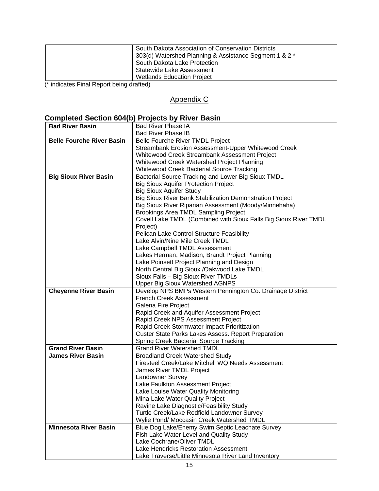| South Dakota Association of Conservation Districts<br>303(d) Watershed Planning & Assistance Segment 1 & 2 *<br>South Dakota Lake Protection<br>Statewide Lake Assessment<br><b>Wetlands Education Project</b> |
|----------------------------------------------------------------------------------------------------------------------------------------------------------------------------------------------------------------|
|----------------------------------------------------------------------------------------------------------------------------------------------------------------------------------------------------------------|

(\* indicates Final Report being drafted)

#### Appendix C

### **Completed Section 604(b) Projects by River Basin**

| <b>Bad River Basin</b>           | <b>Bad River Phase IA</b>                                                                   |
|----------------------------------|---------------------------------------------------------------------------------------------|
|                                  | <b>Bad River Phase IB</b>                                                                   |
| <b>Belle Fourche River Basin</b> | Belle Fourche River TMDL Project                                                            |
|                                  | Streambank Erosion Assessment-Upper Whitewood Creek                                         |
|                                  | Whitewood Creek Streambank Assessment Project                                               |
|                                  | Whitewood Creek Watershed Project Planning                                                  |
|                                  | Whitewood Creek Bacterial Source Tracking                                                   |
| <b>Big Sioux River Basin</b>     | Bacterial Source Tracking and Lower Big Sioux TMDL                                          |
|                                  | <b>Big Sioux Aquifer Protection Project</b>                                                 |
|                                  | <b>Big Sioux Aquifer Study</b>                                                              |
|                                  | Big Sioux River Bank Stabilization Demonstration Project                                    |
|                                  | Big Sioux River Riparian Assessment (Moody/Minnehaha)                                       |
|                                  | Brookings Area TMDL Sampling Project                                                        |
|                                  | Covell Lake TMDL (Combined with Sioux Falls Big Sioux River TMDL                            |
|                                  | Project)                                                                                    |
|                                  | Pelican Lake Control Structure Feasibility                                                  |
|                                  | Lake Alvin/Nine Mile Creek TMDL                                                             |
|                                  | Lake Campbell TMDL Assessment                                                               |
|                                  | Lakes Herman, Madison, Brandt Project Planning<br>Lake Poinsett Project Planning and Design |
|                                  | North Central Big Sioux /Oakwood Lake TMDL                                                  |
|                                  | Sioux Falls - Big Sioux River TMDLs                                                         |
|                                  | <b>Upper Big Sioux Watershed AGNPS</b>                                                      |
| <b>Cheyenne River Basin</b>      | Develop NPS BMPs Western Pennington Co. Drainage District                                   |
|                                  | <b>French Creek Assessment</b>                                                              |
|                                  | Galena Fire Project                                                                         |
|                                  | Rapid Creek and Aquifer Assessment Project                                                  |
|                                  | Rapid Creek NPS Assessment Project                                                          |
|                                  | Rapid Creek Stormwater Impact Prioritization                                                |
|                                  | <b>Custer State Parks Lakes Assess. Report Preparation</b>                                  |
|                                  | <b>Spring Creek Bacterial Source Tracking</b>                                               |
| <b>Grand River Basin</b>         | <b>Grand River Watershed TMDL</b>                                                           |
| <b>James River Basin</b>         | <b>Broadland Creek Watershed Study</b>                                                      |
|                                  | Firesteel Creek/Lake Mitchell WQ Needs Assessment                                           |
|                                  | James River TMDL Project                                                                    |
|                                  | Landowner Survey                                                                            |
|                                  | Lake Faulkton Assessment Project                                                            |
|                                  | Lake Louise Water Quality Monitoring                                                        |
|                                  | Mina Lake Water Quality Project                                                             |
|                                  | Ravine Lake Diagnostic/Feasibility Study                                                    |
|                                  | Turtle Creek/Lake Redfield Landowner Survey                                                 |
|                                  | Wylie Pond/ Moccasin Creek Watershed TMDL                                                   |
| <b>Minnesota River Basin</b>     | Blue Dog Lake/Enemy Swim Septic Leachate Survey                                             |
|                                  | Fish Lake Water Level and Quality Study<br>Lake Cochrane/Oliver TMDL                        |
|                                  | Lake Hendricks Restoration Assessment                                                       |
|                                  | Lake Traverse/Little Minnesota River Land Inventory                                         |
|                                  |                                                                                             |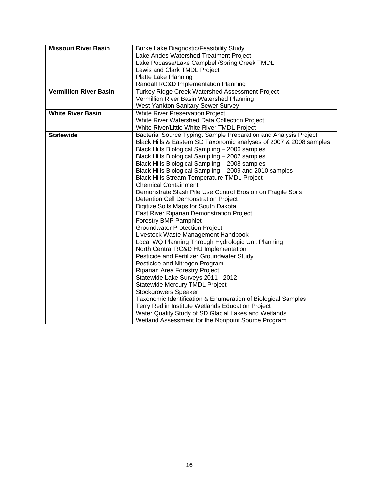| <b>Missouri River Basin</b>   | <b>Burke Lake Diagnostic/Feasibility Study</b>                     |  |  |  |  |  |  |
|-------------------------------|--------------------------------------------------------------------|--|--|--|--|--|--|
|                               | Lake Andes Watershed Treatment Project                             |  |  |  |  |  |  |
|                               | Lake Pocasse/Lake Campbell/Spring Creek TMDL                       |  |  |  |  |  |  |
|                               | Lewis and Clark TMDL Project                                       |  |  |  |  |  |  |
|                               | Platte Lake Planning                                               |  |  |  |  |  |  |
|                               | Randall RC&D Implementation Planning                               |  |  |  |  |  |  |
| <b>Vermillion River Basin</b> | Turkey Ridge Creek Watershed Assessment Project                    |  |  |  |  |  |  |
|                               | Vermillion River Basin Watershed Planning                          |  |  |  |  |  |  |
|                               | West Yankton Sanitary Sewer Survey                                 |  |  |  |  |  |  |
| <b>White River Basin</b>      | White River Preservation Project                                   |  |  |  |  |  |  |
|                               | White River Watershed Data Collection Project                      |  |  |  |  |  |  |
|                               | White River/Little White River TMDL Project                        |  |  |  |  |  |  |
| <b>Statewide</b>              | Bacterial Source Typing: Sample Preparation and Analysis Project   |  |  |  |  |  |  |
|                               | Black Hills & Eastern SD Taxonomic analyses of 2007 & 2008 samples |  |  |  |  |  |  |
|                               | Black Hills Biological Sampling - 2006 samples                     |  |  |  |  |  |  |
|                               | Black Hills Biological Sampling - 2007 samples                     |  |  |  |  |  |  |
|                               | Black Hills Biological Sampling - 2008 samples                     |  |  |  |  |  |  |
|                               | Black Hills Biological Sampling - 2009 and 2010 samples            |  |  |  |  |  |  |
|                               | <b>Black Hills Stream Temperature TMDL Project</b>                 |  |  |  |  |  |  |
|                               | <b>Chemical Containment</b>                                        |  |  |  |  |  |  |
|                               | Demonstrate Slash Pile Use Control Erosion on Fragile Soils        |  |  |  |  |  |  |
|                               | <b>Detention Cell Demonstration Project</b>                        |  |  |  |  |  |  |
|                               | Digitize Soils Maps for South Dakota                               |  |  |  |  |  |  |
|                               | East River Riparian Demonstration Project                          |  |  |  |  |  |  |
|                               | <b>Forestry BMP Pamphlet</b>                                       |  |  |  |  |  |  |
|                               | <b>Groundwater Protection Project</b>                              |  |  |  |  |  |  |
|                               | Livestock Waste Management Handbook                                |  |  |  |  |  |  |
|                               | Local WQ Planning Through Hydrologic Unit Planning                 |  |  |  |  |  |  |
|                               | North Central RC&D HU Implementation                               |  |  |  |  |  |  |
|                               | Pesticide and Fertilizer Groundwater Study                         |  |  |  |  |  |  |
|                               | Pesticide and Nitrogen Program                                     |  |  |  |  |  |  |
|                               | Riparian Area Forestry Project                                     |  |  |  |  |  |  |
|                               | Statewide Lake Surveys 2011 - 2012                                 |  |  |  |  |  |  |
|                               | <b>Statewide Mercury TMDL Project</b>                              |  |  |  |  |  |  |
|                               | <b>Stockgrowers Speaker</b>                                        |  |  |  |  |  |  |
|                               | Taxonomic Identification & Enumeration of Biological Samples       |  |  |  |  |  |  |
|                               | Terry Redlin Institute Wetlands Education Project                  |  |  |  |  |  |  |
|                               | Water Quality Study of SD Glacial Lakes and Wetlands               |  |  |  |  |  |  |
|                               | Wetland Assessment for the Nonpoint Source Program                 |  |  |  |  |  |  |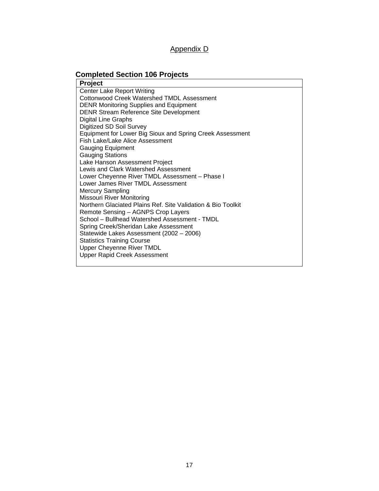#### Appendix D

# **Completed Section 106 Projects**

| <b>Project</b>                                                                      |
|-------------------------------------------------------------------------------------|
| <b>Center Lake Report Writing</b>                                                   |
| Cottonwood Creek Watershed TMDL Assessment                                          |
| <b>DENR Monitoring Supplies and Equipment</b>                                       |
| <b>DENR Stream Reference Site Development</b>                                       |
| Digital Line Graphs                                                                 |
| Digitized SD Soil Survey                                                            |
| Equipment for Lower Big Sioux and Spring Creek Assessment                           |
| Fish Lake/Lake Alice Assessment                                                     |
| <b>Gauging Equipment</b>                                                            |
| <b>Gauging Stations</b>                                                             |
| Lake Hanson Assessment Project                                                      |
| Lewis and Clark Watershed Assessment                                                |
| Lower Cheyenne River TMDL Assessment - Phase I                                      |
| Lower James River TMDL Assessment                                                   |
| <b>Mercury Sampling</b>                                                             |
| Missouri River Monitoring                                                           |
| Northern Glaciated Plains Ref. Site Validation & Bio Toolkit                        |
| Remote Sensing - AGNPS Crop Layers<br>School - Bullhead Watershed Assessment - TMDL |
| Spring Creek/Sheridan Lake Assessment                                               |
| Statewide Lakes Assessment (2002 - 2006)                                            |
| <b>Statistics Training Course</b>                                                   |
| Upper Cheyenne River TMDL                                                           |
| <b>Upper Rapid Creek Assessment</b>                                                 |
|                                                                                     |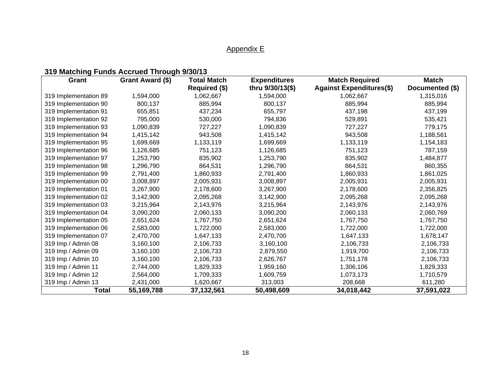# Appendix E

# **319 Matching Funds Accrued Through 9/30/13**

| Grant                 | Grant Award (\$) | <b>Total Match</b> | <b>Expenditures</b> | <b>Match Required</b>           | <b>Match</b>    |  |
|-----------------------|------------------|--------------------|---------------------|---------------------------------|-----------------|--|
|                       |                  | Required (\$)      | thru 9/30/13(\$)    | <b>Against Expenditures(\$)</b> | Documented (\$) |  |
| 319 Implementation 89 | 1,594,000        | 1,062,667          | 1,594,000           | 1,062,667                       | 1,315,016       |  |
| 319 Implementation 90 | 800,137          | 885,994            | 800,137             | 885,994                         | 885,994         |  |
| 319 Implementation 91 | 655,851          | 437,234            | 655,797             | 437,198                         | 437,199         |  |
| 319 Implementation 92 | 795,000          | 530,000            | 794,836             | 529,891                         | 535,421         |  |
| 319 Implementation 93 | 1,090,839        | 727,227            | 1,090,839           | 727,227                         | 779,175         |  |
| 319 Implementation 94 | 1,415,142        | 943,508            | 1,415,142           | 943,508                         | 1,188,561       |  |
| 319 Implementation 95 | 1,699,669        | 1,133,119          | 1,699,669           | 1,133,119                       | 1,154,183       |  |
| 319 Implementation 96 | 1,126,685        | 751,123            | 1,126,685           | 751,123                         | 787,159         |  |
| 319 Implementation 97 | 1,253,790        | 835,902            | 1,253,790           | 835,902                         | 1,484,877       |  |
| 319 Implementation 98 | 1,296,790        | 864,531            | 1,296,790           | 864,531                         | 860,355         |  |
| 319 Implementation 99 | 2,791,400        | 1,860,933          | 2,791,400           | 1,860,933                       | 1,861,025       |  |
| 319 Implementation 00 | 3,008,897        | 2,005,931          | 3,008,897           | 2,005,931                       | 2,005,931       |  |
| 319 Implementation 01 | 3,267,900        | 2,178,600          | 3,267,900           | 2,178,600                       | 2,356,825       |  |
| 319 Implementation 02 | 3,142,900        | 2,095,268          | 3,142,900           | 2,095,268                       | 2,095,268       |  |
| 319 Implementation 03 | 3,215,964        | 2,143,976          | 3,215,964           | 2,143,976                       | 2,143,976       |  |
| 319 Implementation 04 | 3,090,200        | 2,060,133          | 3,090,200           | 2,060,133                       | 2,060,769       |  |
| 319 Implementation 05 | 2,651,624        | 1,767,750          | 2,651,624           | 1,767,750                       | 1,767,750       |  |
| 319 Implementation 06 | 2,583,000        | 1,722,000          | 2,583,000           | 1,722,000                       | 1,722,000       |  |
| 319 Implementation 07 | 2,470,700        | 1,647,133          | 2,470,700           | 1,647,133                       | 1,678,147       |  |
| 319 Imp / Admin 08    | 3,160,100        | 2,106,733          | 3,160,100           | 2,106,733                       | 2,106,733       |  |
| 319 Imp / Admin 09    | 3,160,100        | 2,106,733          | 2,879,550           | 1,919,700                       | 2,106,733       |  |
| 319 Imp / Admin 10    | 3,160,100        | 2,106,733          | 2,626,767           | 1,751,178                       | 2,106,733       |  |
| 319 Imp / Admin 11    | 2,744,000        | 1,829,333          | 1,959,160           | 1,306,106                       | 1,829,333       |  |
| 319 Imp / Admin 12    | 2,564,000        | 1,709,333          | 1,609,759           | 1,073,173                       | 1,710,579       |  |
| 319 Imp / Admin 13    | 2,431,000        | 1,620,667          | 313,003             | 208,668                         | 611,280         |  |
| <b>Total</b>          | 55,169,788       | 37,132,561         | 50,498,609          | 34,018,442                      | 37,591,022      |  |